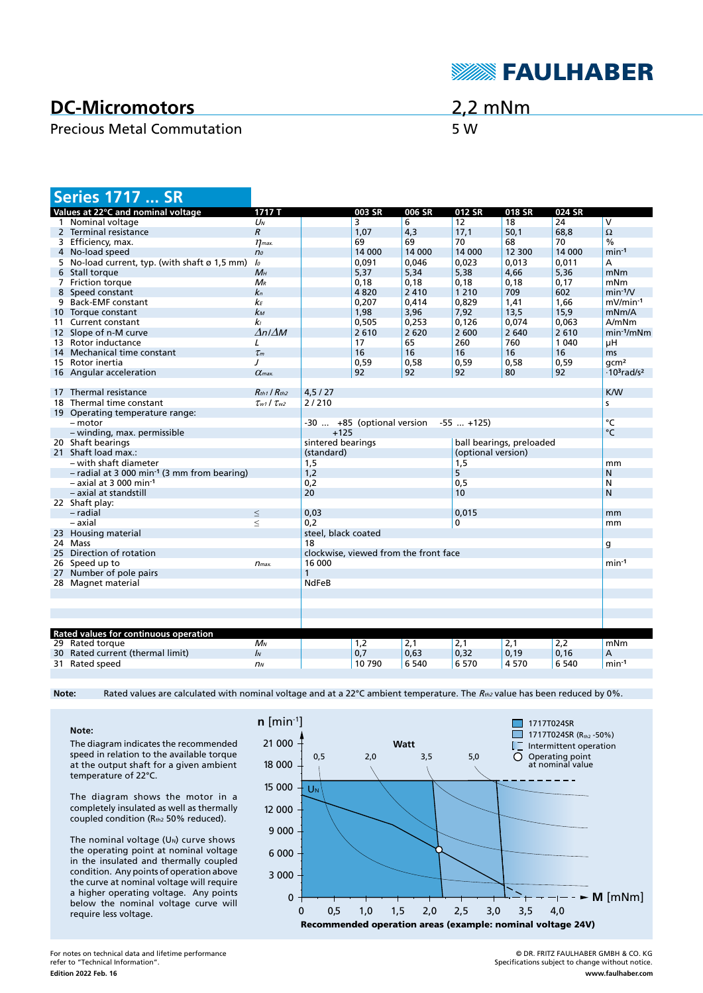

# **DC-Micromotors**

## Precious Metal Commutation 5 W

2,2 mNm

| <b>Series 1717  SR</b>                                  |                                 |                                               |        |         |         |         |         |                                            |
|---------------------------------------------------------|---------------------------------|-----------------------------------------------|--------|---------|---------|---------|---------|--------------------------------------------|
| Values at 22°C and nominal voltage                      | 1717 T                          |                                               | 003 SR | 006 SR  | 012 SR  | 018 SR  | 024 SR  |                                            |
| 1 Nominal voltage                                       | $U_N$                           |                                               | 3      | 6       | 12      | 18      | 24      | $\overline{\mathsf{v}}$                    |
| 2 Terminal resistance                                   | $\mathcal{R}$                   |                                               | 1,07   | 4,3     | 17,1    | 50,1    | 68,8    | $\Omega$                                   |
| 3 Efficiency, max.                                      | $\eta$ <sub>max</sub> .         |                                               | 69     | 69      | 70      | 68      | 70      | $\frac{0}{6}$                              |
| 4 No-load speed                                         | n <sub>o</sub>                  |                                               | 14 000 | 14 000  | 14 000  | 12 300  | 14 000  | $min-1$                                    |
| 5 No-load current, typ. (with shaft ø 1,5 mm)           | $\mathcal{L}$                   |                                               | 0,091  | 0,046   | 0,023   | 0,013   | 0,011   | А                                          |
| 6 Stall torque                                          | $M_H$                           |                                               | 5,37   | 5,34    | 5,38    | 4,66    | 5,36    | mNm                                        |
| 7 Friction torque                                       | $M_{R}$                         |                                               | 0,18   | 0,18    | 0,18    | 0,18    | 0,17    | mNm                                        |
| 8 Speed constant                                        | $k_n$                           |                                               | 4820   | 2 4 1 0 | 1 2 1 0 | 709     | 602     | $min-1/V$                                  |
| 9 Back-EMF constant                                     | kЕ                              |                                               | 0,207  | 0,414   | 0,829   | 1,41    | 1,66    | $mV/min-1$                                 |
| 10 Torque constant                                      | $k_{M}$                         |                                               | 1,98   | 3,96    | 7,92    | 13,5    | 15,9    | mNm/A                                      |
| 11 Current constant                                     | k <sub>1</sub>                  |                                               | 0,505  | 0,253   | 0.126   | 0.074   | 0.063   | A/mNm                                      |
| 12 Slope of n-M curve                                   | $\Delta n / \Delta M$           |                                               | 2610   | 2 6 2 0 | 2 600   | 2 6 4 0 | 2610    | $min-1/mNm$                                |
| 13 Rotor inductance                                     | L                               |                                               | 17     | 65      | 260     | 760     | 1 0 4 0 | μH                                         |
| 14 Mechanical time constant                             | $\tau_m$                        |                                               | 16     | 16      | 16      | 16      | 16      | ms                                         |
| 15 Rotor inertia                                        | $\prime$                        |                                               | 0,59   | 0,58    | 0,59    | 0,58    | 0,59    | qcm <sup>2</sup>                           |
| 16 Angular acceleration                                 | $\alpha$ <sub>max</sub> .       |                                               | 92     | 92      | 92      | 80      | 92      | $\cdot$ 10 <sup>3</sup> rad/s <sup>2</sup> |
|                                                         |                                 |                                               |        |         |         |         |         |                                            |
| 17 Thermal resistance                                   | $R_{th1}$ / $R_{th2}$           | 4, 5 / 27                                     |        |         |         |         |         | <b>K/W</b>                                 |
| 18 Thermal time constant                                | $\tau_{w1}$ / $\tau_{w2}$       | 2/210                                         |        |         |         |         |         | s                                          |
| 19 Operating temperature range:                         |                                 |                                               |        |         |         |         |         |                                            |
| - motor                                                 |                                 | $-55$ $+125$ )<br>-30  +85 (optional version  |        |         |         |         |         | °C                                         |
| - winding, max. permissible                             | $+125$                          |                                               |        |         |         |         | °C      |                                            |
| 20 Shaft bearings                                       |                                 | sintered bearings<br>ball bearings, preloaded |        |         |         |         |         |                                            |
| 21 Shaft load max.:                                     |                                 | (optional version)<br>(standard)              |        |         |         |         |         |                                            |
| - with shaft diameter                                   |                                 | 1,5                                           |        |         | 1,5     |         |         | mm                                         |
| - radial at 3 000 min <sup>-1</sup> (3 mm from bearing) |                                 | 1,2                                           |        |         | 5       |         |         | N                                          |
| $-$ axial at 3 000 min <sup>-1</sup>                    |                                 | 0,2                                           |        |         | 0, 5    |         |         | N                                          |
| - axial at standstill                                   |                                 | 20                                            |        |         | 10      |         |         | N                                          |
| 22 Shaft play:                                          |                                 |                                               |        |         |         |         |         |                                            |
| - radial                                                | $\leq$                          | 0,03                                          |        |         | 0.015   |         |         | mm                                         |
| – axial                                                 | $\,<$                           | 0,2                                           |        |         | 0       |         |         | mm                                         |
| 23 Housing material                                     |                                 | steel, black coated                           |        |         |         |         |         |                                            |
| 24 Mass                                                 |                                 | 18<br>g                                       |        |         |         |         |         |                                            |
| 25 Direction of rotation                                |                                 | clockwise, viewed from the front face         |        |         |         |         |         |                                            |
| 26 Speed up to                                          | 16 000<br>$min-1$<br>$n_{max.}$ |                                               |        |         |         |         |         |                                            |
| 27 Number of pole pairs                                 |                                 | $\mathbf{1}$                                  |        |         |         |         |         |                                            |
| 28 Magnet material                                      |                                 | <b>NdFeB</b>                                  |        |         |         |         |         |                                            |
|                                                         |                                 |                                               |        |         |         |         |         |                                            |
|                                                         |                                 |                                               |        |         |         |         |         |                                            |
|                                                         |                                 |                                               |        |         |         |         |         |                                            |
|                                                         |                                 |                                               |        |         |         |         |         |                                            |
| Rated values for continuous operation                   |                                 |                                               |        |         |         |         |         |                                            |
| 29 Rated torque                                         | $M_N$                           |                                               | 1,2    | 2,1     | 2,1     | 2,1     | 2,2     | mNm                                        |
| 30 Rated current (thermal limit)                        | $\mathbf{I}$                    |                                               | 0,7    | 0,63    | 0,32    | 0, 19   | 0,16    | А                                          |
| 31 Rated speed                                          | n <sub>N</sub>                  |                                               | 10 790 | 6 5 4 0 | 6 5 7 0 | 4570    | 6 5 4 0 | $min-1$                                    |
|                                                         |                                 |                                               |        |         |         |         |         |                                            |

Note: Rated values are calculated with nominal voltage and at a 22°C ambient temperature. The R<sub>th2</sub> value has been reduced by 0%.

#### **Note:** The diagram indicates the recommended speed in relation to the available torque at the output shaft for a given ambient temperature of 22°C.

The diagram shows the motor in a completely insulated as well as thermally coupled condition (Rth2 50% reduced).

The nominal voltage  $(U<sub>N</sub>)$  curve shows the operating point at nominal voltage in the insulated and thermally coupled condition. Any points of operation above the curve at nominal voltage will require a higher operating voltage. Any points below the nominal voltage curve will require less voltage.



For notes on technical data and lifetime performance refer to "Technical Information". **Edition 2022 Feb. 16**

© DR. FRITZ FAULHABER GMBH & CO. KG Specifications subject to change without notice. **www.faulhaber.com**